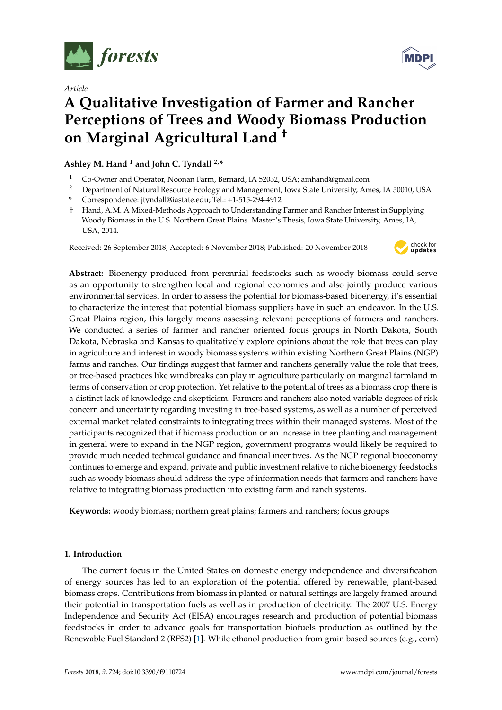

*Article*

# **A Qualitative Investigation of Farmer and Rancher Perceptions of Trees and Woody Biomass Production on Marginal Agricultural Land †**

**Ashley M. Hand <sup>1</sup> and John C. Tyndall 2,\***

- <sup>1</sup> Co-Owner and Operator, Noonan Farm, Bernard, IA 52032, USA; amhand@gmail.com
- <sup>2</sup> Department of Natural Resource Ecology and Management, Iowa State University, Ames, IA 50010, USA
- **\*** Correspondence: jtyndall@iastate.edu; Tel.: +1-515-294-4912
- † Hand, A.M. A Mixed-Methods Approach to Understanding Farmer and Rancher Interest in Supplying Woody Biomass in the U.S. Northern Great Plains. Master's Thesis, Iowa State University, Ames, IA, USA, 2014.

Received: 26 September 2018; Accepted: 6 November 2018; Published: 20 November 2018



**Abstract:** Bioenergy produced from perennial feedstocks such as woody biomass could serve as an opportunity to strengthen local and regional economies and also jointly produce various environmental services. In order to assess the potential for biomass-based bioenergy, it's essential to characterize the interest that potential biomass suppliers have in such an endeavor. In the U.S. Great Plains region, this largely means assessing relevant perceptions of farmers and ranchers. We conducted a series of farmer and rancher oriented focus groups in North Dakota, South Dakota, Nebraska and Kansas to qualitatively explore opinions about the role that trees can play in agriculture and interest in woody biomass systems within existing Northern Great Plains (NGP) farms and ranches. Our findings suggest that farmer and ranchers generally value the role that trees, or tree-based practices like windbreaks can play in agriculture particularly on marginal farmland in terms of conservation or crop protection. Yet relative to the potential of trees as a biomass crop there is a distinct lack of knowledge and skepticism. Farmers and ranchers also noted variable degrees of risk concern and uncertainty regarding investing in tree-based systems, as well as a number of perceived external market related constraints to integrating trees within their managed systems. Most of the participants recognized that if biomass production or an increase in tree planting and management in general were to expand in the NGP region, government programs would likely be required to provide much needed technical guidance and financial incentives. As the NGP regional bioeconomy continues to emerge and expand, private and public investment relative to niche bioenergy feedstocks such as woody biomass should address the type of information needs that farmers and ranchers have relative to integrating biomass production into existing farm and ranch systems.

**Keywords:** woody biomass; northern great plains; farmers and ranchers; focus groups

## **1. Introduction**

The current focus in the United States on domestic energy independence and diversification of energy sources has led to an exploration of the potential offered by renewable, plant-based biomass crops. Contributions from biomass in planted or natural settings are largely framed around their potential in transportation fuels as well as in production of electricity. The 2007 U.S. Energy Independence and Security Act (EISA) encourages research and production of potential biomass feedstocks in order to advance goals for transportation biofuels production as outlined by the Renewable Fuel Standard 2 (RFS2) [\[1\]](#page-10-0). While ethanol production from grain based sources (e.g., corn)

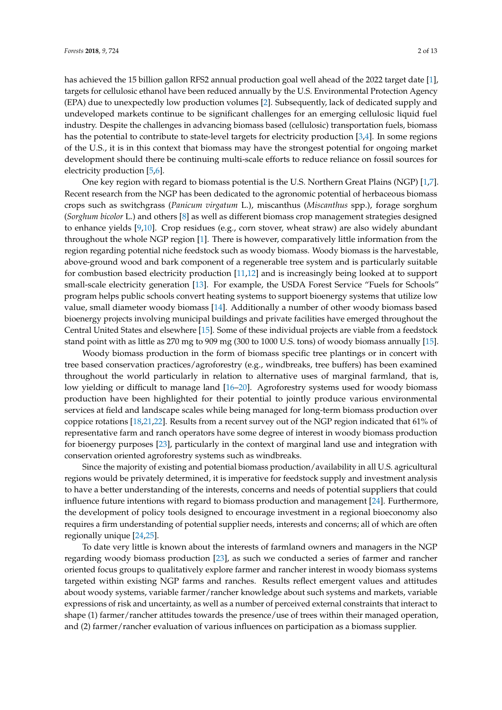has achieved the 15 billion gallon RFS2 annual production goal well ahead of the 2022 target date [\[1\]](#page-10-0), targets for cellulosic ethanol have been reduced annually by the U.S. Environmental Protection Agency (EPA) due to unexpectedly low production volumes [\[2\]](#page-10-1). Subsequently, lack of dedicated supply and undeveloped markets continue to be significant challenges for an emerging cellulosic liquid fuel industry. Despite the challenges in advancing biomass based (cellulosic) transportation fuels, biomass has the potential to contribute to state-level targets for electricity production  $[3,4]$  $[3,4]$ . In some regions of the U.S., it is in this context that biomass may have the strongest potential for ongoing market development should there be continuing multi-scale efforts to reduce reliance on fossil sources for electricity production [\[5](#page-10-4)[,6\]](#page-10-5).

One key region with regard to biomass potential is the U.S. Northern Great Plains (NGP) [\[1,](#page-10-0)[7\]](#page-10-6). Recent research from the NGP has been dedicated to the agronomic potential of herbaceous biomass crops such as switchgrass (*Panicum virgatum* L.), miscanthus (*Miscanthus* spp.), forage sorghum (*Sorghum bicolor* L.) and others [\[8\]](#page-10-7) as well as different biomass crop management strategies designed to enhance yields [\[9,](#page-10-8)[10\]](#page-10-9). Crop residues (e.g., corn stover, wheat straw) are also widely abundant throughout the whole NGP region [\[1\]](#page-10-0). There is however, comparatively little information from the region regarding potential niche feedstock such as woody biomass. Woody biomass is the harvestable, above-ground wood and bark component of a regenerable tree system and is particularly suitable for combustion based electricity production [\[11](#page-10-10)[,12\]](#page-10-11) and is increasingly being looked at to support small-scale electricity generation [\[13\]](#page-10-12). For example, the USDA Forest Service "Fuels for Schools" program helps public schools convert heating systems to support bioenergy systems that utilize low value, small diameter woody biomass [\[14\]](#page-10-13). Additionally a number of other woody biomass based bioenergy projects involving municipal buildings and private facilities have emerged throughout the Central United States and elsewhere [\[15\]](#page-10-14). Some of these individual projects are viable from a feedstock stand point with as little as 270 mg to 909 mg (300 to 1000 U.S. tons) of woody biomass annually [\[15\]](#page-10-14).

Woody biomass production in the form of biomass specific tree plantings or in concert with tree based conservation practices/agroforestry (e.g., windbreaks, tree buffers) has been examined throughout the world particularly in relation to alternative uses of marginal farmland, that is, low yielding or difficult to manage land [\[16](#page-10-15)[–20\]](#page-10-16). Agroforestry systems used for woody biomass production have been highlighted for their potential to jointly produce various environmental services at field and landscape scales while being managed for long-term biomass production over coppice rotations [\[18](#page-10-17)[,21,](#page-10-18)[22\]](#page-10-19). Results from a recent survey out of the NGP region indicated that 61% of representative farm and ranch operators have some degree of interest in woody biomass production for bioenergy purposes [\[23\]](#page-11-0), particularly in the context of marginal land use and integration with conservation oriented agroforestry systems such as windbreaks.

Since the majority of existing and potential biomass production/availability in all U.S. agricultural regions would be privately determined, it is imperative for feedstock supply and investment analysis to have a better understanding of the interests, concerns and needs of potential suppliers that could influence future intentions with regard to biomass production and management [\[24\]](#page-11-1). Furthermore, the development of policy tools designed to encourage investment in a regional bioeconomy also requires a firm understanding of potential supplier needs, interests and concerns; all of which are often regionally unique [\[24](#page-11-1)[,25\]](#page-11-2).

To date very little is known about the interests of farmland owners and managers in the NGP regarding woody biomass production [\[23\]](#page-11-0), as such we conducted a series of farmer and rancher oriented focus groups to qualitatively explore farmer and rancher interest in woody biomass systems targeted within existing NGP farms and ranches. Results reflect emergent values and attitudes about woody systems, variable farmer/rancher knowledge about such systems and markets, variable expressions of risk and uncertainty, as well as a number of perceived external constraints that interact to shape (1) farmer/rancher attitudes towards the presence/use of trees within their managed operation, and (2) farmer/rancher evaluation of various influences on participation as a biomass supplier.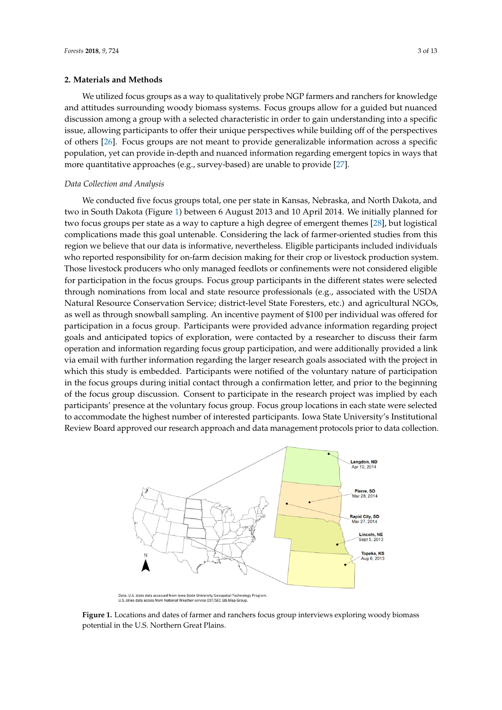We utilized focus groups as a way to qualitatively probe NGP farmers and ranchers for knowledge and attitudes surrounding woody biomass systems. Focus groups allow for a guided but nuanced discussion among a group with a selected characteristic in order to gain understanding into a specific issue, allowing participants to offer their unique perspectives while building off of the perspectives of others [\[26\]](#page-11-3). Focus groups are not meant to provide generalizable information across a specific population, yet can provide in-depth and nuanced information regarding emergent topics in ways that *Data Collection and Analysis*  more quantitative approaches (e.g., survey-based) are unable to provide [\[27\]](#page-11-4). nuanced discussion among a group with a selected characteristic in order to gain understanding into we unized focus groups as a way to quantatively probe increasing families and families for Knowledge  $W = W \cup W$ e per state in Kansas, Nebraska, Nebraska, and North Dakota, and North Dakota, and North Dakota, and North Dakota, and North Dakota, and North Dakota, and North Dakota, and North Dakota, and North Dakota, and Nort

## **Data Collection and Analysis Exercise 2013 and 1** August 2013 **and 10 August 2013 and 10 August 2014.** We increase 2014. We increase 2014. We increase 2014. We increase 2014. We increase 2014. We increase 2014. We incre

We conducted five focus groups total, one per state in Kansas, Nebraska, and North Dakota, and two in South Dakota (Figure [1\)](#page-2-0) between 6 August 2013 and 10 April 2014. We initially planned for two in section sunction (rigine 1) section of rigidor 2010 and 10 rigin 2011. We maning planned for two focus groups per state as a way to capture a high degree of emergent themes [\[28\]](#page-11-5), but logistical complications made this goal untenable. Considering the lack of farmer-oriented studies from this complications made this goal untenable. Considering the lack of farmer-oriented studies from this edifferentiative that our data is informative, nevertheless. Eligible participants included individuals region we believe that our data is informative, nevertheless. Eligible participants included individuals report we ceneve that our data to intermative, nevertheless. English participation included matrixially who reported responsibility for on-farm decision making for their crop or livestock production system. Those livestock producers who only managed feedlots or confinements were not considered eligible for participation in the focus groups. Focus group participants in the different states were selected for participation in the focus groups. Focus group participants in the different states were selected through nominations from local and state resource professionals (e.g., associated with the USDA Inough hominations from local and state resource professionals (e.g.) associated whit the OSBA<br>Natural Resource Conservation Service; district-level State Foresters, etc.) and agricultural NGOs, as well as through snowball sampling. An incentive payment of \$100 per individual was offered for as wen as anough showed samping. The necessive payment of  $\psi$  to per marylead, was onefied for participation in a focus group. Participants were provided advance information regarding project participation in a focus group. I articipated were provided advance information regarding project goals and anticipated topics of exploration, were contacted by a researcher to discuss their farm operation and information regarding focus group participation, and were additionally provided a link via email with further information regarding focus group participation, and were durinonally provided a link<br>via email with further information regarding the larger research goals associated with the project in which this study is embedded. Participants were notified of the voluntary nature of participation in the focus groups during initial contact through a confirmation letter, and prior to the beginning<br>
locations in each state in terms in the highest number of interested participants. of the focus group discussion. Consent to participate in the research project was implied by each In the rocal group ancelession. Consert to participate in the research project was implied by each participants' presence at the voluntary focus group. Focus group locations in each state were selected participants presence at the volumary focus group. Focus group focultors in each state were selected<br>to accommodate the highest number of interested participants. Iowa State University's Institutional Review Board approved our research approach and data management protocols prior to data collection. states were selected through nominations from local and state resource professionals (e.g., associated through  $\alpha$ ) and state resource professionals (e.g., associated through  $\alpha$ ) and  $\alpha$ ) and  $\alpha$ ) and  $\alpha$ ) and  $\alpha$ ) agricultural ngo sampling ngo sampling sampling as the structure payment of  $1000$ information regarding project various contacted to the contact goals and anticipated by and anticipated by a structure of the contacted by a structure of the contacted by a structure of the contacted by a structure of the goals are analyzed with the project in which the project in which the project is expected. Participants were not via electrical with participate the beginning of the focus discussion. Consequence with the projection

<span id="page-2-0"></span>

Data: U.S. state data accessed from Iowa State University Geospatial Technology Program<br>U.S. cities data access from National Weather service OST/SEC GIS Map Group.

potential in the U.S. Northern Great Plains. **Figure 1.** Locations and dates of farmer and ranchers focus group interviews exploring woody biomass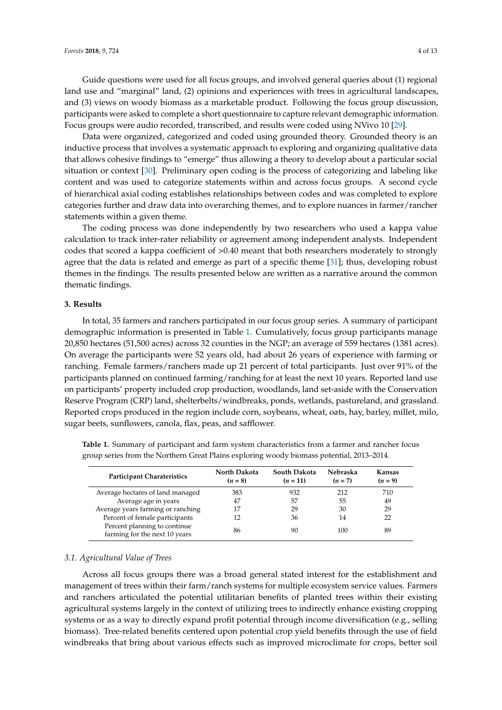Guide questions were used for all focus groups, and involved general queries about (1) regional land use and "marginal" land, (2) opinions and experiences with trees in agricultural landscapes, and (3) views on woody biomass as a marketable product. Following the focus group discussion, participants were asked to complete a short questionnaire to capture relevant demographic information. Focus groups were audio recorded, transcribed, and results were coded using NVivo 10 [\[29\]](#page-11-6).

Data were organized, categorized and coded using grounded theory. Grounded theory is an inductive process that involves a systematic approach to exploring and organizing qualitative data that allows cohesive findings to "emerge" thus allowing a theory to develop about a particular social situation or context [\[30\]](#page-11-7). Preliminary open coding is the process of categorizing and labeling like content and was used to categorize statements within and across focus groups. A second cycle of hierarchical axial coding establishes relationships between codes and was completed to explore categories further and draw data into overarching themes, and to explore nuances in farmer/rancher statements within a given theme.

The coding process was done independently by two researchers who used a kappa value calculation to track inter-rater reliability or agreement among independent analysts. Independent codes that scored a kappa coefficient of >0.40 meant that both researchers moderately to strongly agree that the data is related and emerge as part of a specific theme [\[31\]](#page-11-8); thus, developing robust themes in the findings. The results presented below are written as a narrative around the common thematic findings.

## **3. Results**

In total, 35 farmers and ranchers participated in our focus group series. A summary of participant demographic information is presented in Table [1.](#page-3-0) Cumulatively, focus group participants manage 20,850 hectares (51,500 acres) across 32 counties in the NGP; an average of 559 hectares (1381 acres). On average the participants were 52 years old, had about 26 years of experience with farming or ranching. Female farmers/ranchers made up 21 percent of total participants. Just over 91% of the participants planned on continued farming/ranching for at least the next 10 years. Reported land use on participants' property included crop production, woodlands, land set-aside with the Conservation Reserve Program (CRP) land, shelterbelts/windbreaks, ponds, wetlands, pastureland, and grassland. Reported crops produced in the region include corn, soybeans, wheat, oats, hay, barley, millet, milo, sugar beets, sunflowers, canola, flax, peas, and safflower.

| <b>Participant Charateristics</b>                             | North Dakota<br>$(n=8)$ | South Dakota<br>$(n = 11)$ | Nebraska<br>$(n = 7)$ | Kansas<br>$(n=9)$ |
|---------------------------------------------------------------|-------------------------|----------------------------|-----------------------|-------------------|
| Average hectares of land managed                              | 383                     | 932                        | 212                   | 710               |
| Average age in years                                          | 47                      | 57                         | 55                    | 49                |
| Average years farming or ranching                             | 17                      | 29                         | 30                    | 29                |
| Percent of female participants                                | 12                      | 36                         | 14                    | 22                |
| Percent planning to continue<br>farming for the next 10 years | 86                      | 90                         | 100                   | 89                |

<span id="page-3-0"></span>**Table 1.** Summary of participant and farm system characteristics from a farmer and rancher focus group series from the Northern Great Plains exploring woody biomass potential, 2013–2014.

## *3.1. Agricultural Value of Trees*

Across all focus groups there was a broad general stated interest for the establishment and management of trees within their farm/ranch systems for multiple ecosystem service values. Farmers and ranchers articulated the potential utilitarian benefits of planted trees within their existing agricultural systems largely in the context of utilizing trees to indirectly enhance existing cropping systems or as a way to directly expand profit potential through income diversification (e.g., selling biomass). Tree-related benefits centered upon potential crop yield benefits through the use of field windbreaks that bring about various effects such as improved microclimate for crops, better soil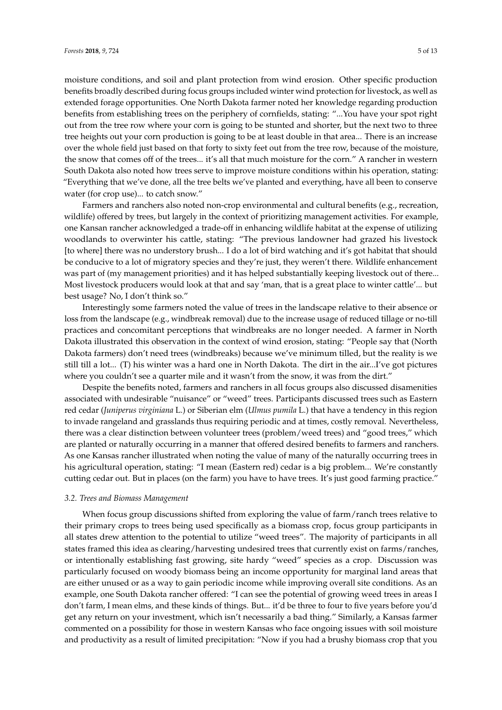moisture conditions, and soil and plant protection from wind erosion. Other specific production benefits broadly described during focus groups included winter wind protection for livestock, as well as extended forage opportunities. One North Dakota farmer noted her knowledge regarding production benefits from establishing trees on the periphery of cornfields, stating: "...You have your spot right out from the tree row where your corn is going to be stunted and shorter, but the next two to three tree heights out your corn production is going to be at least double in that area... There is an increase over the whole field just based on that forty to sixty feet out from the tree row, because of the moisture, the snow that comes off of the trees... it's all that much moisture for the corn." A rancher in western South Dakota also noted how trees serve to improve moisture conditions within his operation, stating: "Everything that we've done, all the tree belts we've planted and everything, have all been to conserve water (for crop use)... to catch snow."

Farmers and ranchers also noted non-crop environmental and cultural benefits (e.g., recreation, wildlife) offered by trees, but largely in the context of prioritizing management activities. For example, one Kansan rancher acknowledged a trade-off in enhancing wildlife habitat at the expense of utilizing woodlands to overwinter his cattle, stating: "The previous landowner had grazed his livestock [to where] there was no understory brush... I do a lot of bird watching and it's got habitat that should be conducive to a lot of migratory species and they're just, they weren't there. Wildlife enhancement was part of (my management priorities) and it has helped substantially keeping livestock out of there... Most livestock producers would look at that and say 'man, that is a great place to winter cattle'... but best usage? No, I don't think so."

Interestingly some farmers noted the value of trees in the landscape relative to their absence or loss from the landscape (e.g., windbreak removal) due to the increase usage of reduced tillage or no-till practices and concomitant perceptions that windbreaks are no longer needed. A farmer in North Dakota illustrated this observation in the context of wind erosion, stating: "People say that (North Dakota farmers) don't need trees (windbreaks) because we've minimum tilled, but the reality is we still till a lot... (T) his winter was a hard one in North Dakota. The dirt in the air...I've got pictures where you couldn't see a quarter mile and it wasn't from the snow, it was from the dirt."

Despite the benefits noted, farmers and ranchers in all focus groups also discussed disamenities associated with undesirable "nuisance" or "weed" trees. Participants discussed trees such as Eastern red cedar (*Juniperus virginiana* L.) or Siberian elm (*Ulmus pumila* L.) that have a tendency in this region to invade rangeland and grasslands thus requiring periodic and at times, costly removal. Nevertheless, there was a clear distinction between volunteer trees (problem/weed trees) and "good trees," which are planted or naturally occurring in a manner that offered desired benefits to farmers and ranchers. As one Kansas rancher illustrated when noting the value of many of the naturally occurring trees in his agricultural operation, stating: "I mean (Eastern red) cedar is a big problem... We're constantly cutting cedar out. But in places (on the farm) you have to have trees. It's just good farming practice."

#### *3.2. Trees and Biomass Management*

When focus group discussions shifted from exploring the value of farm/ranch trees relative to their primary crops to trees being used specifically as a biomass crop, focus group participants in all states drew attention to the potential to utilize "weed trees". The majority of participants in all states framed this idea as clearing/harvesting undesired trees that currently exist on farms/ranches, or intentionally establishing fast growing, site hardy "weed" species as a crop. Discussion was particularly focused on woody biomass being an income opportunity for marginal land areas that are either unused or as a way to gain periodic income while improving overall site conditions. As an example, one South Dakota rancher offered: "I can see the potential of growing weed trees in areas I don't farm, I mean elms, and these kinds of things. But... it'd be three to four to five years before you'd get any return on your investment, which isn't necessarily a bad thing." Similarly, a Kansas farmer commented on a possibility for those in western Kansas who face ongoing issues with soil moisture and productivity as a result of limited precipitation: "Now if you had a brushy biomass crop that you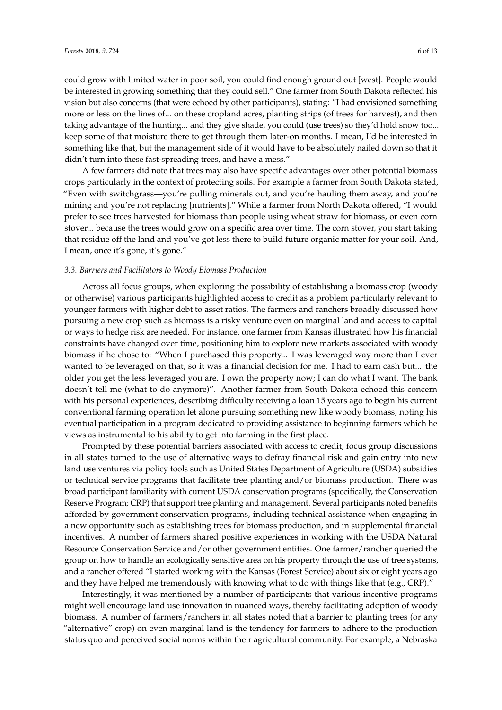could grow with limited water in poor soil, you could find enough ground out [west]. People would be interested in growing something that they could sell." One farmer from South Dakota reflected his vision but also concerns (that were echoed by other participants), stating: "I had envisioned something more or less on the lines of... on these cropland acres, planting strips (of trees for harvest), and then

taking advantage of the hunting... and they give shade, you could (use trees) so they'd hold snow too... keep some of that moisture there to get through them later-on months. I mean, I'd be interested in something like that, but the management side of it would have to be absolutely nailed down so that it didn't turn into these fast-spreading trees, and have a mess."

A few farmers did note that trees may also have specific advantages over other potential biomass crops particularly in the context of protecting soils. For example a farmer from South Dakota stated, "Even with switchgrass—you're pulling minerals out, and you're hauling them away, and you're mining and you're not replacing [nutrients]." While a farmer from North Dakota offered, "I would prefer to see trees harvested for biomass than people using wheat straw for biomass, or even corn stover... because the trees would grow on a specific area over time. The corn stover, you start taking that residue off the land and you've got less there to build future organic matter for your soil. And, I mean, once it's gone, it's gone."

#### *3.3. Barriers and Facilitators to Woody Biomass Production*

Across all focus groups, when exploring the possibility of establishing a biomass crop (woody or otherwise) various participants highlighted access to credit as a problem particularly relevant to younger farmers with higher debt to asset ratios. The farmers and ranchers broadly discussed how pursuing a new crop such as biomass is a risky venture even on marginal land and access to capital or ways to hedge risk are needed. For instance, one farmer from Kansas illustrated how his financial constraints have changed over time, positioning him to explore new markets associated with woody biomass if he chose to: "When I purchased this property... I was leveraged way more than I ever wanted to be leveraged on that, so it was a financial decision for me. I had to earn cash but... the older you get the less leveraged you are. I own the property now; I can do what I want. The bank doesn't tell me (what to do anymore)". Another farmer from South Dakota echoed this concern with his personal experiences, describing difficulty receiving a loan 15 years ago to begin his current conventional farming operation let alone pursuing something new like woody biomass, noting his eventual participation in a program dedicated to providing assistance to beginning farmers which he views as instrumental to his ability to get into farming in the first place.

Prompted by these potential barriers associated with access to credit, focus group discussions in all states turned to the use of alternative ways to defray financial risk and gain entry into new land use ventures via policy tools such as United States Department of Agriculture (USDA) subsidies or technical service programs that facilitate tree planting and/or biomass production. There was broad participant familiarity with current USDA conservation programs (specifically, the Conservation Reserve Program; CRP) that support tree planting and management. Several participants noted benefits afforded by government conservation programs, including technical assistance when engaging in a new opportunity such as establishing trees for biomass production, and in supplemental financial incentives. A number of farmers shared positive experiences in working with the USDA Natural Resource Conservation Service and/or other government entities. One farmer/rancher queried the group on how to handle an ecologically sensitive area on his property through the use of tree systems, and a rancher offered "I started working with the Kansas (Forest Service) about six or eight years ago and they have helped me tremendously with knowing what to do with things like that (e.g., CRP)."

Interestingly, it was mentioned by a number of participants that various incentive programs might well encourage land use innovation in nuanced ways, thereby facilitating adoption of woody biomass. A number of farmers/ranchers in all states noted that a barrier to planting trees (or any "alternative" crop) on even marginal land is the tendency for farmers to adhere to the production status quo and perceived social norms within their agricultural community. For example, a Nebraska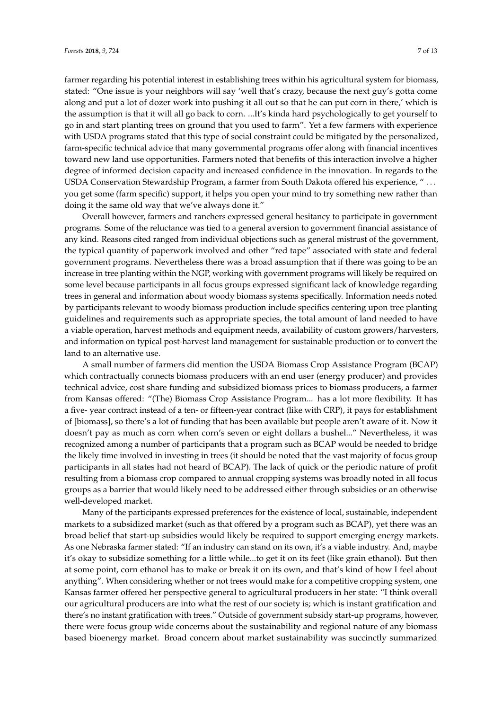farmer regarding his potential interest in establishing trees within his agricultural system for biomass, stated: "One issue is your neighbors will say 'well that's crazy, because the next guy's gotta come along and put a lot of dozer work into pushing it all out so that he can put corn in there,' which is the assumption is that it will all go back to corn. ...It's kinda hard psychologically to get yourself to go in and start planting trees on ground that you used to farm". Yet a few farmers with experience with USDA programs stated that this type of social constraint could be mitigated by the personalized, farm-specific technical advice that many governmental programs offer along with financial incentives toward new land use opportunities. Farmers noted that benefits of this interaction involve a higher degree of informed decision capacity and increased confidence in the innovation. In regards to the USDA Conservation Stewardship Program, a farmer from South Dakota offered his experience, " . . . you get some (farm specific) support, it helps you open your mind to try something new rather than doing it the same old way that we've always done it."

Overall however, farmers and ranchers expressed general hesitancy to participate in government programs. Some of the reluctance was tied to a general aversion to government financial assistance of any kind. Reasons cited ranged from individual objections such as general mistrust of the government, the typical quantity of paperwork involved and other "red tape" associated with state and federal government programs. Nevertheless there was a broad assumption that if there was going to be an increase in tree planting within the NGP, working with government programs will likely be required on some level because participants in all focus groups expressed significant lack of knowledge regarding trees in general and information about woody biomass systems specifically. Information needs noted by participants relevant to woody biomass production include specifics centering upon tree planting guidelines and requirements such as appropriate species, the total amount of land needed to have a viable operation, harvest methods and equipment needs, availability of custom growers/harvesters, and information on typical post-harvest land management for sustainable production or to convert the land to an alternative use.

A small number of farmers did mention the USDA Biomass Crop Assistance Program (BCAP) which contractually connects biomass producers with an end user (energy producer) and provides technical advice, cost share funding and subsidized biomass prices to biomass producers, a farmer from Kansas offered: "(The) Biomass Crop Assistance Program... has a lot more flexibility. It has a five- year contract instead of a ten- or fifteen-year contract (like with CRP), it pays for establishment of [biomass], so there's a lot of funding that has been available but people aren't aware of it. Now it doesn't pay as much as corn when corn's seven or eight dollars a bushel..." Nevertheless, it was recognized among a number of participants that a program such as BCAP would be needed to bridge the likely time involved in investing in trees (it should be noted that the vast majority of focus group participants in all states had not heard of BCAP). The lack of quick or the periodic nature of profit resulting from a biomass crop compared to annual cropping systems was broadly noted in all focus groups as a barrier that would likely need to be addressed either through subsidies or an otherwise well-developed market.

Many of the participants expressed preferences for the existence of local, sustainable, independent markets to a subsidized market (such as that offered by a program such as BCAP), yet there was an broad belief that start-up subsidies would likely be required to support emerging energy markets. As one Nebraska farmer stated: "If an industry can stand on its own, it's a viable industry. And, maybe it's okay to subsidize something for a little while...to get it on its feet (like grain ethanol). But then at some point, corn ethanol has to make or break it on its own, and that's kind of how I feel about anything". When considering whether or not trees would make for a competitive cropping system, one Kansas farmer offered her perspective general to agricultural producers in her state: "I think overall our agricultural producers are into what the rest of our society is; which is instant gratification and there's no instant gratification with trees." Outside of government subsidy start-up programs, however, there were focus group wide concerns about the sustainability and regional nature of any biomass based bioenergy market. Broad concern about market sustainability was succinctly summarized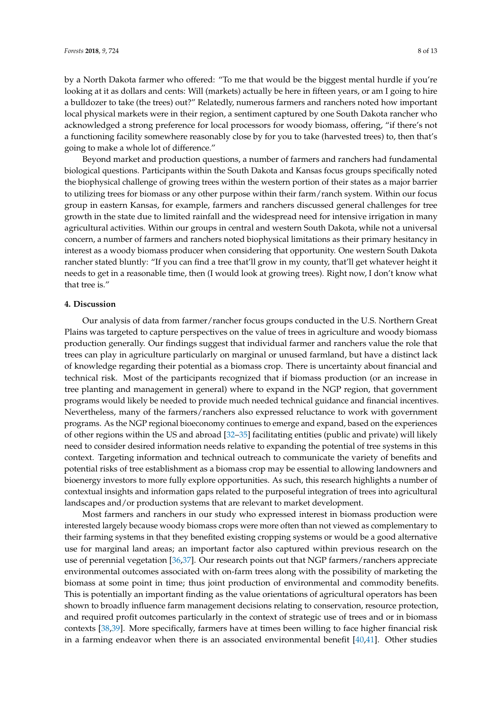by a North Dakota farmer who offered: "To me that would be the biggest mental hurdle if you're looking at it as dollars and cents: Will (markets) actually be here in fifteen years, or am I going to hire a bulldozer to take (the trees) out?" Relatedly, numerous farmers and ranchers noted how important local physical markets were in their region, a sentiment captured by one South Dakota rancher who acknowledged a strong preference for local processors for woody biomass, offering, "if there's not a functioning facility somewhere reasonably close by for you to take (harvested trees) to, then that's going to make a whole lot of difference."

Beyond market and production questions, a number of farmers and ranchers had fundamental biological questions. Participants within the South Dakota and Kansas focus groups specifically noted the biophysical challenge of growing trees within the western portion of their states as a major barrier to utilizing trees for biomass or any other purpose within their farm/ranch system. Within our focus group in eastern Kansas, for example, farmers and ranchers discussed general challenges for tree growth in the state due to limited rainfall and the widespread need for intensive irrigation in many agricultural activities. Within our groups in central and western South Dakota, while not a universal concern, a number of farmers and ranchers noted biophysical limitations as their primary hesitancy in interest as a woody biomass producer when considering that opportunity. One western South Dakota rancher stated bluntly: "If you can find a tree that'll grow in my county, that'll get whatever height it needs to get in a reasonable time, then (I would look at growing trees). Right now, I don't know what that tree is."

#### **4. Discussion**

Our analysis of data from farmer/rancher focus groups conducted in the U.S. Northern Great Plains was targeted to capture perspectives on the value of trees in agriculture and woody biomass production generally. Our findings suggest that individual farmer and ranchers value the role that trees can play in agriculture particularly on marginal or unused farmland, but have a distinct lack of knowledge regarding their potential as a biomass crop. There is uncertainty about financial and technical risk. Most of the participants recognized that if biomass production (or an increase in tree planting and management in general) where to expand in the NGP region, that government programs would likely be needed to provide much needed technical guidance and financial incentives. Nevertheless, many of the farmers/ranchers also expressed reluctance to work with government programs. As the NGP regional bioeconomy continues to emerge and expand, based on the experiences of other regions within the US and abroad [\[32–](#page-11-9)[35\]](#page-11-10) facilitating entities (public and private) will likely need to consider desired information needs relative to expanding the potential of tree systems in this context. Targeting information and technical outreach to communicate the variety of benefits and potential risks of tree establishment as a biomass crop may be essential to allowing landowners and bioenergy investors to more fully explore opportunities. As such, this research highlights a number of contextual insights and information gaps related to the purposeful integration of trees into agricultural landscapes and/or production systems that are relevant to market development.

Most farmers and ranchers in our study who expressed interest in biomass production were interested largely because woody biomass crops were more often than not viewed as complementary to their farming systems in that they benefited existing cropping systems or would be a good alternative use for marginal land areas; an important factor also captured within previous research on the use of perennial vegetation [\[36,](#page-11-11)[37\]](#page-11-12). Our research points out that NGP farmers/ranchers appreciate environmental outcomes associated with on-farm trees along with the possibility of marketing the biomass at some point in time; thus joint production of environmental and commodity benefits. This is potentially an important finding as the value orientations of agricultural operators has been shown to broadly influence farm management decisions relating to conservation, resource protection, and required profit outcomes particularly in the context of strategic use of trees and or in biomass contexts [\[38,](#page-11-13)[39\]](#page-11-14). More specifically, farmers have at times been willing to face higher financial risk in a farming endeavor when there is an associated environmental benefit  $[40,41]$  $[40,41]$ . Other studies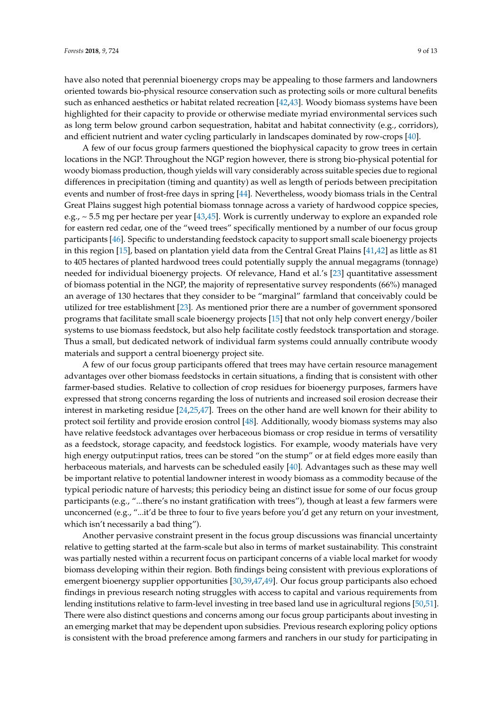have also noted that perennial bioenergy crops may be appealing to those farmers and landowners oriented towards bio-physical resource conservation such as protecting soils or more cultural benefits such as enhanced aesthetics or habitat related recreation [\[42,](#page-11-17)[43\]](#page-11-18). Woody biomass systems have been highlighted for their capacity to provide or otherwise mediate myriad environmental services such as long term below ground carbon sequestration, habitat and habitat connectivity (e.g., corridors), and efficient nutrient and water cycling particularly in landscapes dominated by row-crops [\[40\]](#page-11-15).

A few of our focus group farmers questioned the biophysical capacity to grow trees in certain locations in the NGP. Throughout the NGP region however, there is strong bio-physical potential for woody biomass production, though yields will vary considerably across suitable species due to regional differences in precipitation (timing and quantity) as well as length of periods between precipitation events and number of frost-free days in spring [\[44\]](#page-11-19). Nevertheless, woody biomass trials in the Central Great Plains suggest high potential biomass tonnage across a variety of hardwood coppice species, e.g., ~ 5.5 mg per hectare per year [\[43](#page-11-18)[,45\]](#page-11-20). Work is currently underway to explore an expanded role for eastern red cedar, one of the "weed trees" specifically mentioned by a number of our focus group participants [\[46\]](#page-11-21). Specific to understanding feedstock capacity to support small scale bioenergy projects in this region [\[15\]](#page-10-14), based on plantation yield data from the Central Great Plains [\[41](#page-11-16)[,42\]](#page-11-17) as little as 81 to 405 hectares of planted hardwood trees could potentially supply the annual megagrams (tonnage) needed for individual bioenergy projects. Of relevance, Hand et al.'s [\[23\]](#page-11-0) quantitative assessment of biomass potential in the NGP, the majority of representative survey respondents (66%) managed an average of 130 hectares that they consider to be "marginal" farmland that conceivably could be utilized for tree establishment [\[23\]](#page-11-0). As mentioned prior there are a number of government sponsored programs that facilitate small scale bioenergy projects [\[15\]](#page-10-14) that not only help convert energy/boiler systems to use biomass feedstock, but also help facilitate costly feedstock transportation and storage. Thus a small, but dedicated network of individual farm systems could annually contribute woody materials and support a central bioenergy project site.

A few of our focus group participants offered that trees may have certain resource management advantages over other biomass feedstocks in certain situations, a finding that is consistent with other farmer-based studies. Relative to collection of crop residues for bioenergy purposes, farmers have expressed that strong concerns regarding the loss of nutrients and increased soil erosion decrease their interest in marketing residue [\[24,](#page-11-1)[25,](#page-11-2)[47\]](#page-11-22). Trees on the other hand are well known for their ability to protect soil fertility and provide erosion control [\[48\]](#page-12-0). Additionally, woody biomass systems may also have relative feedstock advantages over herbaceous biomass or crop residue in terms of versatility as a feedstock, storage capacity, and feedstock logistics. For example, woody materials have very high energy output:input ratios, trees can be stored "on the stump" or at field edges more easily than herbaceous materials, and harvests can be scheduled easily [\[40\]](#page-11-15). Advantages such as these may well be important relative to potential landowner interest in woody biomass as a commodity because of the typical periodic nature of harvests; this periodicy being an distinct issue for some of our focus group participants (e.g., "...there's no instant gratification with trees"), though at least a few farmers were unconcerned (e.g., "...it'd be three to four to five years before you'd get any return on your investment, which isn't necessarily a bad thing").

Another pervasive constraint present in the focus group discussions was financial uncertainty relative to getting started at the farm-scale but also in terms of market sustainability. This constraint was partially nested within a recurrent focus on participant concerns of a viable local market for woody biomass developing within their region. Both findings being consistent with previous explorations of emergent bioenergy supplier opportunities [\[30,](#page-11-7)[39,](#page-11-14)[47,](#page-11-22)[49\]](#page-12-1). Our focus group participants also echoed findings in previous research noting struggles with access to capital and various requirements from lending institutions relative to farm-level investing in tree based land use in agricultural regions [\[50](#page-12-2)[,51\]](#page-12-3). There were also distinct questions and concerns among our focus group participants about investing in an emerging market that may be dependent upon subsidies. Previous research exploring policy options is consistent with the broad preference among farmers and ranchers in our study for participating in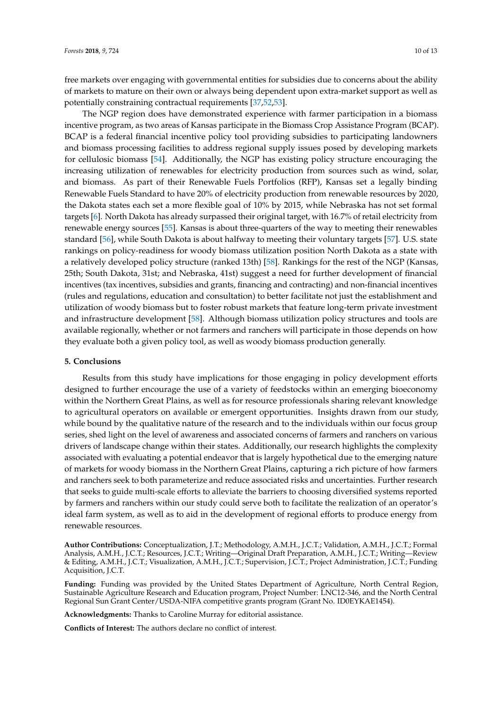free markets over engaging with governmental entities for subsidies due to concerns about the ability of markets to mature on their own or always being dependent upon extra-market support as well as potentially constraining contractual requirements [\[37](#page-11-12)[,52](#page-12-4)[,53\]](#page-12-5).

The NGP region does have demonstrated experience with farmer participation in a biomass incentive program, as two areas of Kansas participate in the Biomass Crop Assistance Program (BCAP). BCAP is a federal financial incentive policy tool providing subsidies to participating landowners and biomass processing facilities to address regional supply issues posed by developing markets for cellulosic biomass [\[54\]](#page-12-6). Additionally, the NGP has existing policy structure encouraging the increasing utilization of renewables for electricity production from sources such as wind, solar, and biomass. As part of their Renewable Fuels Portfolios (RFP), Kansas set a legally binding Renewable Fuels Standard to have 20% of electricity production from renewable resources by 2020, the Dakota states each set a more flexible goal of 10% by 2015, while Nebraska has not set formal targets [\[6\]](#page-10-5). North Dakota has already surpassed their original target, with 16.7% of retail electricity from renewable energy sources [\[55\]](#page-12-7). Kansas is about three-quarters of the way to meeting their renewables standard [\[56\]](#page-12-8), while South Dakota is about halfway to meeting their voluntary targets [\[57\]](#page-12-9). U.S. state rankings on policy-readiness for woody biomass utilization position North Dakota as a state with a relatively developed policy structure (ranked 13th) [\[58\]](#page-12-10). Rankings for the rest of the NGP (Kansas, 25th; South Dakota, 31st; and Nebraska, 41st) suggest a need for further development of financial incentives (tax incentives, subsidies and grants, financing and contracting) and non-financial incentives (rules and regulations, education and consultation) to better facilitate not just the establishment and utilization of woody biomass but to foster robust markets that feature long-term private investment and infrastructure development [\[58\]](#page-12-10). Although biomass utilization policy structures and tools are available regionally, whether or not farmers and ranchers will participate in those depends on how they evaluate both a given policy tool, as well as woody biomass production generally.

## **5. Conclusions**

Results from this study have implications for those engaging in policy development efforts designed to further encourage the use of a variety of feedstocks within an emerging bioeconomy within the Northern Great Plains, as well as for resource professionals sharing relevant knowledge to agricultural operators on available or emergent opportunities. Insights drawn from our study, while bound by the qualitative nature of the research and to the individuals within our focus group series, shed light on the level of awareness and associated concerns of farmers and ranchers on various drivers of landscape change within their states. Additionally, our research highlights the complexity associated with evaluating a potential endeavor that is largely hypothetical due to the emerging nature of markets for woody biomass in the Northern Great Plains, capturing a rich picture of how farmers and ranchers seek to both parameterize and reduce associated risks and uncertainties. Further research that seeks to guide multi-scale efforts to alleviate the barriers to choosing diversified systems reported by farmers and ranchers within our study could serve both to facilitate the realization of an operator's ideal farm system, as well as to aid in the development of regional efforts to produce energy from renewable resources.

**Author Contributions:** Conceptualization, J.T.; Methodology, A.M.H., J.C.T.; Validation, A.M.H., J.C.T.; Formal Analysis, A.M.H., J.C.T.; Resources, J.C.T.; Writing—Original Draft Preparation, A.M.H., J.C.T.; Writing—Review & Editing, A.M.H., J.C.T.; Visualization, A.M.H., J.C.T.; Supervision, J.C.T.; Project Administration, J.C.T.; Funding Acquisition, J.C.T.

**Funding:** Funding was provided by the United States Department of Agriculture, North Central Region, Sustainable Agriculture Research and Education program, Project Number: LNC12-346, and the North Central Regional Sun Grant Center/USDA-NIFA competitive grants program (Grant No. ID0EYKAE1454).

**Acknowledgments:** Thanks to Caroline Murray for editorial assistance.

**Conflicts of Interest:** The authors declare no conflict of interest.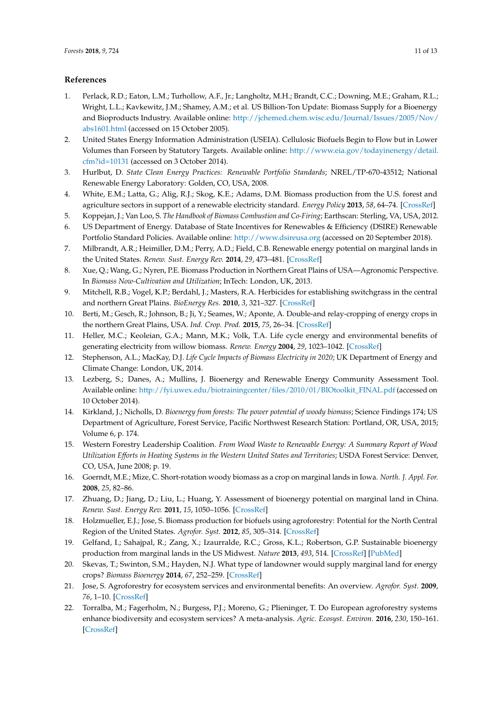## **References**

- <span id="page-10-0"></span>1. Perlack, R.D.; Eaton, L.M.; Turhollow, A.F., Jr.; Langholtz, M.H.; Brandt, C.C.; Downing, M.E.; Graham, R.L.; Wright, L.L.; Kavkewitz, J.M.; Shamey, A.M.; et al. US Billion-Ton Update: Biomass Supply for a Bioenergy and Bioproducts Industry. Available online: [http://jchemed.chem.wisc.edu/Journal/Issues/2005/Nov/](http://jchemed.chem.wisc.edu/Journal/Issues/2005/Nov/abs1601.html) [abs1601.html](http://jchemed.chem.wisc.edu/Journal/Issues/2005/Nov/abs1601.html) (accessed on 15 October 2005).
- <span id="page-10-1"></span>2. United States Energy Information Administration (USEIA). Cellulosic Biofuels Begin to Flow but in Lower Volumes than Forseen by Statutory Targets. Available online: [http://www.eia.gov/todayinenergy/detail.](http://www.eia.gov/todayinenergy/detail.cfm?id=10131) [cfm?id=10131](http://www.eia.gov/todayinenergy/detail.cfm?id=10131) (accessed on 3 October 2014).
- <span id="page-10-2"></span>3. Hurlbut, D. *State Clean Energy Practices: Renewable Portfolio Standards*; NREL/TP-670-43512; National Renewable Energy Laboratory: Golden, CO, USA, 2008.
- <span id="page-10-3"></span>4. White, E.M.; Latta, G.; Alig, R.J.; Skog, K.E.; Adams, D.M. Biomass production from the U.S. forest and agriculture sectors in support of a renewable electricity standard. *Energy Policy* **2013**, *58*, 64–74. [\[CrossRef\]](http://dx.doi.org/10.1016/j.enpol.2013.02.029)
- <span id="page-10-4"></span>5. Koppejan, J.; Van Loo, S. *The Handbook of Biomass Combustion and Co-Firing*; Earthscan: Sterling, VA, USA, 2012.
- <span id="page-10-5"></span>6. US Department of Energy. Database of State Incentives for Renewables & Efficiency (DSIRE) Renewable Portfolio Standard Policies. Available online: <http://www.dsireusa.org> (accessed on 20 September 2018).
- <span id="page-10-6"></span>7. Milbrandt, A.R.; Heimiller, D.M.; Perry, A.D.; Field, C.B. Renewable energy potential on marginal lands in the United States. *Renew. Sust. Energy Rev.* **2014**, *29*, 473–481. [\[CrossRef\]](http://dx.doi.org/10.1016/j.rser.2013.08.079)
- <span id="page-10-7"></span>8. Xue, Q.; Wang, G.; Nyren, P.E. Biomass Production in Northern Great Plains of USA—Agronomic Perspective. In *Biomass Now-Cultivation and Utilization*; InTech: London, UK, 2013.
- <span id="page-10-8"></span>9. Mitchell, R.B.; Vogel, K.P.; Berdahl, J.; Masters, R.A. Herbicides for establishing switchgrass in the central and northern Great Plains. *BioEnergy Res.* **2010**, *3*, 321–327. [\[CrossRef\]](http://dx.doi.org/10.1007/s12155-010-9084-4)
- <span id="page-10-9"></span>10. Berti, M.; Gesch, R.; Johnson, B.; Ji, Y.; Seames, W.; Aponte, A. Double-and relay-cropping of energy crops in the northern Great Plains, USA. *Ind. Crop. Prod.* **2015**, *75*, 26–34. [\[CrossRef\]](http://dx.doi.org/10.1016/j.indcrop.2015.05.012)
- <span id="page-10-10"></span>11. Heller, M.C.; Keoleian, G.A.; Mann, M.K.; Volk, T.A. Life cycle energy and environmental benefits of generating electricity from willow biomass. *Renew. Energy* **2004**, *29*, 1023–1042. [\[CrossRef\]](http://dx.doi.org/10.1016/j.renene.2003.11.018)
- <span id="page-10-11"></span>12. Stephenson, A.L.; MacKay, D.J. *Life Cycle Impacts of Biomass Electricity in 2020*; UK Department of Energy and Climate Change: London, UK, 2014.
- <span id="page-10-12"></span>13. Lezberg, S.; Danes, A.; Mullins, J. Bioenergy and Renewable Energy Community Assessment Tool. Available online: [http://fyi.uwex.edu/biotrainingcenter/files/2010/01/BIOtoolkit\\_FINAL.pdf](http://fyi.uwex.edu/biotrainingcenter/files/2010/01/BIOtoolkit_FINAL.pdf) (accessed on 10 October 2014).
- <span id="page-10-13"></span>14. Kirkland, J.; Nicholls, D. *Bioenergy from forests: The power potential of woody biomass*; Science Findings 174; US Department of Agriculture, Forest Service, Pacific Northwest Research Station: Portland, OR, USA, 2015; Volume 6, p. 174.
- <span id="page-10-14"></span>15. Western Forestry Leadership Coalition. *From Wood Waste to Renewable Energy: A Summary Report of Wood Utilization Efforts in Heating Systems in the Western United States and Territories*; USDA Forest Service: Denver, CO, USA, June 2008; p. 19.
- <span id="page-10-15"></span>16. Goerndt, M.E.; Mize, C. Short-rotation woody biomass as a crop on marginal lands in Iowa. *North. J. Appl. For.* **2008**, *25*, 82–86.
- 17. Zhuang, D.; Jiang, D.; Liu, L.; Huang, Y. Assessment of bioenergy potential on marginal land in China. *Renew. Sust. Energy Rev.* **2011**, *15*, 1050–1056. [\[CrossRef\]](http://dx.doi.org/10.1016/j.rser.2010.11.041)
- <span id="page-10-17"></span>18. Holzmueller, E.J.; Jose, S. Biomass production for biofuels using agroforestry: Potential for the North Central Region of the United States. *Agrofor. Syst.* **2012**, *85*, 305–314. [\[CrossRef\]](http://dx.doi.org/10.1007/s10457-012-9502-z)
- 19. Gelfand, I.; Sahajpal, R.; Zang, X.; Izaurralde, R.C.; Gross, K.L.; Robertson, G.P. Sustainable bioenergy production from marginal lands in the US Midwest. *Nature* **2013**, *493*, 514. [\[CrossRef\]](http://dx.doi.org/10.1038/nature11811) [\[PubMed\]](http://www.ncbi.nlm.nih.gov/pubmed/23334409)
- <span id="page-10-16"></span>20. Skevas, T.; Swinton, S.M.; Hayden, N.J. What type of landowner would supply marginal land for energy crops? *Biomass Bioenergy* **2014**, *67*, 252–259. [\[CrossRef\]](http://dx.doi.org/10.1016/j.biombioe.2014.05.011)
- <span id="page-10-18"></span>21. Jose, S. Agroforestry for ecosystem services and environmental benefits: An overview. *Agrofor. Syst.* **2009**, *76*, 1–10. [\[CrossRef\]](http://dx.doi.org/10.1007/s10457-009-9229-7)
- <span id="page-10-19"></span>22. Torralba, M.; Fagerholm, N.; Burgess, P.J.; Moreno, G.; Plieninger, T. Do European agroforestry systems enhance biodiversity and ecosystem services? A meta-analysis. *Agric. Ecosyst. Environ.* **2016**, *230*, 150–161. [\[CrossRef\]](http://dx.doi.org/10.1016/j.agee.2016.06.002)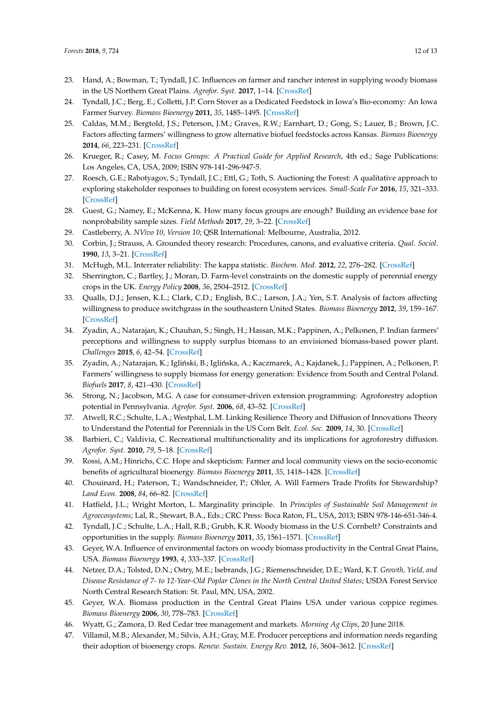- <span id="page-11-0"></span>23. Hand, A.; Bowman, T.; Tyndall, J.C. Influences on farmer and rancher interest in supplying woody biomass in the US Northern Great Plains. *Agrofor. Syst.* **2017**, 1–14. [\[CrossRef\]](http://dx.doi.org/10.1007/s10457-017-0170-x)
- <span id="page-11-1"></span>24. Tyndall, J.C.; Berg, E.; Colletti, J.P. Corn Stover as a Dedicated Feedstock in Iowa's Bio-economy: An Iowa Farmer Survey. *Biomass Bioenergy* **2011**, *35*, 1485–1495. [\[CrossRef\]](http://dx.doi.org/10.1016/j.biombioe.2010.08.049)
- <span id="page-11-2"></span>25. Caldas, M.M.; Bergtold, J.S.; Peterson, J.M.; Graves, R.W.; Earnhart, D.; Gong, S.; Lauer, B.; Brown, J.C. Factors affecting farmers' willingness to grow alternative biofuel feedstocks across Kansas. *Biomass Bioenergy* **2014**, *66*, 223–231. [\[CrossRef\]](http://dx.doi.org/10.1016/j.biombioe.2014.04.009)
- <span id="page-11-3"></span>26. Krueger, R.; Casey, M. *Focus Groups: A Practical Guide for Applied Research*, 4th ed.; Sage Publications: Los Angeles, CA, USA, 2009; ISBN 978-141-296-947-5.
- <span id="page-11-4"></span>27. Roesch, G.E.; Rabotyagov, S.; Tyndall, J.C.; Ettl, G.; Toth, S. Auctioning the Forest: A qualitative approach to exploring stakeholder responses to building on forest ecosystem services. *Small-Scale For* **2016**, *15*, 321–333. [\[CrossRef\]](http://dx.doi.org/10.1007/s11842-016-9327-0)
- <span id="page-11-5"></span>28. Guest, G.; Namey, E.; McKenna, K. How many focus groups are enough? Building an evidence base for nonprobability sample sizes. *Field Methods* **2017**, *29*, 3–22. [\[CrossRef\]](http://dx.doi.org/10.1177/1525822X16639015)
- <span id="page-11-6"></span>29. Castleberry, A. *NVivo 10, Version 10*; QSR International: Melbourne, Australia, 2012.
- <span id="page-11-7"></span>30. Corbin, J.; Strauss, A. Grounded theory research: Procedures, canons, and evaluative criteria. *Qual. Sociol.* **1990**, *13*, 3–21. [\[CrossRef\]](http://dx.doi.org/10.1007/BF00988593)
- <span id="page-11-9"></span><span id="page-11-8"></span>31. McHugh, M.L. Interrater reliability: The kappa statistic. *Biochem. Med.* **2012**, *22*, 276–282. [\[CrossRef\]](http://dx.doi.org/10.11613/BM.2012.031)
- 32. Sherrington, C.; Bartley, J.; Moran, D. Farm-level constraints on the domestic supply of perennial energy crops in the UK. *Energy Policy* **2008**, *36*, 2504–2512. [\[CrossRef\]](http://dx.doi.org/10.1016/j.enpol.2008.03.004)
- 33. Qualls, D.J.; Jensen, K.L.; Clark, C.D.; English, B.C.; Larson, J.A.; Yen, S.T. Analysis of factors affecting willingness to produce switchgrass in the southeastern United States. *Biomass Bioenergy* **2012**, *39*, 159–167. [\[CrossRef\]](http://dx.doi.org/10.1016/j.biombioe.2012.01.002)
- 34. Zyadin, A.; Natarajan, K.; Chauhan, S.; Singh, H.; Hassan, M.K.; Pappinen, A.; Pelkonen, P. Indian farmers' perceptions and willingness to supply surplus biomass to an envisioned biomass-based power plant. *Challenges* **2015**, *6*, 42–54. [\[CrossRef\]](http://dx.doi.org/10.3390/challe6010042)
- <span id="page-11-10"></span>35. Zyadin, A.; Natarajan, K.; Igliński, B.; Iglińska, A.; Kaczmarek, A.; Kajdanek, J.; Pappinen, A.; Pelkonen, P. Farmers' willingness to supply biomass for energy generation: Evidence from South and Central Poland. *Biofuels* **2017**, *8*, 421–430. [\[CrossRef\]](http://dx.doi.org/10.1080/17597269.2016.1225647)
- <span id="page-11-11"></span>36. Strong, N.; Jacobson, M.G. A case for consumer-driven extension programming: Agroforestry adoption potential in Pennsylvania. *Agrofor. Syst.* **2006**, *68*, 43–52. [\[CrossRef\]](http://dx.doi.org/10.1007/s10457-006-0002-x)
- <span id="page-11-12"></span>37. Atwell, R.C.; Schulte, L.A.; Westphal, L.M. Linking Resilience Theory and Diffusion of Innovations Theory to Understand the Potential for Perennials in the US Corn Belt. *Ecol. Soc.* **2009**, *14*, 30. [\[CrossRef\]](http://dx.doi.org/10.5751/ES-02787-140130)
- <span id="page-11-13"></span>38. Barbieri, C.; Valdivia, C. Recreational multifunctionality and its implications for agroforestry diffusion. *Agrofor. Syst.* **2010**, *79*, 5–18. [\[CrossRef\]](http://dx.doi.org/10.1007/s10457-009-9269-z)
- <span id="page-11-14"></span>39. Rossi, A.M.; Hinrichs, C.C. Hope and skepticism: Farmer and local community views on the socio-economic benefits of agricultural bioenergy. *Biomass Bioenergy* **2011**, *35*, 1418–1428. [\[CrossRef\]](http://dx.doi.org/10.1016/j.biombioe.2010.08.036)
- <span id="page-11-15"></span>40. Chouinard, H.; Paterson, T.; Wandschneider, P.; Ohler, A. Will Farmers Trade Profits for Stewardship? *Land Econ.* **2008**, *84*, 66–82. [\[CrossRef\]](http://dx.doi.org/10.3368/le.84.1.66)
- <span id="page-11-16"></span>41. Hatfield, J.L.; Wright Morton, L. Marginality principle. In *Principles of Sustainable Soil Management in Agroecosystems*; Lal, R., Stewart, B.A., Eds.; CRC Press: Boca Raton, FL, USA, 2013; ISBN 978-146-651-346-4.
- <span id="page-11-17"></span>42. Tyndall, J.C.; Schulte, L.A.; Hall, R.B.; Grubh, K.R. Woody biomass in the U.S. Cornbelt? Constraints and opportunities in the supply. *Biomass Bioenergy* **2011**, *35*, 1561–1571. [\[CrossRef\]](http://dx.doi.org/10.1016/j.biombioe.2010.12.028)
- <span id="page-11-18"></span>43. Geyer, W.A. Influence of environmental factors on woody biomass productivity in the Central Great Plains, USA. *Biomass Bioenergy* **1993**, *4*, 333–337. [\[CrossRef\]](http://dx.doi.org/10.1016/0961-9534(93)90049-A)
- <span id="page-11-19"></span>44. Netzer, D.A.; Tolsted, D.N.; Ostry, M.E.; Isebrands, J.G.; Riemenschneider, D.E.; Ward, K.T. *Growth, Yield, and Disease Resistance of 7- to 12-Year-Old Poplar Clones in the North Central United States*; USDA Forest Service North Central Research Station: St. Paul, MN, USA, 2002.
- <span id="page-11-20"></span>45. Geyer, W.A. Biomass production in the Central Great Plains USA under various coppice regimes. *Biomass Bioenergy* **2006**, *30*, 778–783. [\[CrossRef\]](http://dx.doi.org/10.1016/j.biombioe.2005.08.002)
- <span id="page-11-21"></span>46. Wyatt, G.; Zamora, D. Red Cedar tree management and markets. *Morning Ag Clips*, 20 June 2018.
- <span id="page-11-22"></span>47. Villamil, M.B.; Alexander, M.; Silvis, A.H.; Gray, M.E. Producer perceptions and information needs regarding their adoption of bioenergy crops. *Renew. Sustain. Energy Rev.* **2012**, *16*, 3604–3612. [\[CrossRef\]](http://dx.doi.org/10.1016/j.rser.2012.03.033)